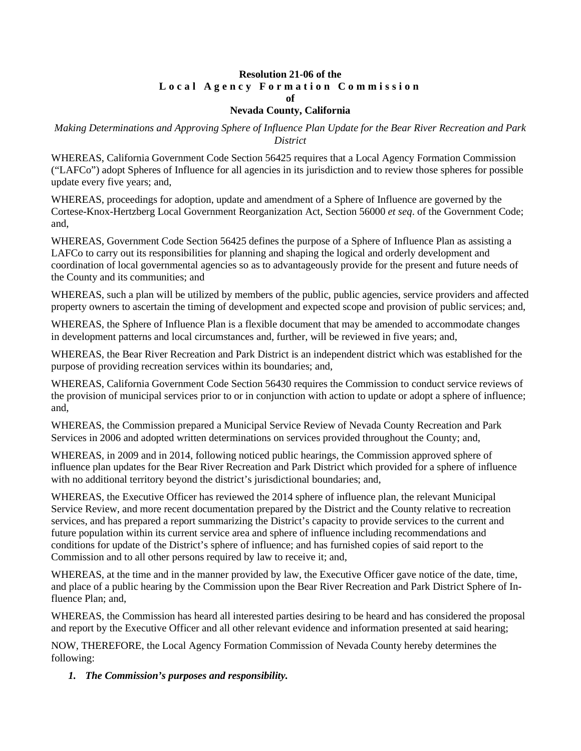### **Resolution 21-06 of the Local Agency Formation Commission of**

#### **Nevada County, California**

*Making Determinations and Approving Sphere of Influence Plan Update for the Bear River Recreation and Park District*

WHEREAS, California Government Code Section 56425 requires that a Local Agency Formation Commission ("LAFCo") adopt Spheres of Influence for all agencies in its jurisdiction and to review those spheres for possible update every five years; and,

WHEREAS, proceedings for adoption, update and amendment of a Sphere of Influence are governed by the Cortese-Knox-Hertzberg Local Government Reorganization Act, Section 56000 *et seq*. of the Government Code; and,

WHEREAS, Government Code Section 56425 defines the purpose of a Sphere of Influence Plan as assisting a LAFCo to carry out its responsibilities for planning and shaping the logical and orderly development and coordination of local governmental agencies so as to advantageously provide for the present and future needs of the County and its communities; and

WHEREAS, such a plan will be utilized by members of the public, public agencies, service providers and affected property owners to ascertain the timing of development and expected scope and provision of public services; and,

WHEREAS, the Sphere of Influence Plan is a flexible document that may be amended to accommodate changes in development patterns and local circumstances and, further, will be reviewed in five years; and,

WHEREAS, the Bear River Recreation and Park District is an independent district which was established for the purpose of providing recreation services within its boundaries; and,

WHEREAS, California Government Code Section 56430 requires the Commission to conduct service reviews of the provision of municipal services prior to or in conjunction with action to update or adopt a sphere of influence; and,

WHEREAS, the Commission prepared a Municipal Service Review of Nevada County Recreation and Park Services in 2006 and adopted written determinations on services provided throughout the County; and,

WHEREAS, in 2009 and in 2014, following noticed public hearings, the Commission approved sphere of influence plan updates for the Bear River Recreation and Park District which provided for a sphere of influence with no additional territory beyond the district's jurisdictional boundaries; and,

WHEREAS, the Executive Officer has reviewed the 2014 sphere of influence plan, the relevant Municipal Service Review, and more recent documentation prepared by the District and the County relative to recreation services, and has prepared a report summarizing the District's capacity to provide services to the current and future population within its current service area and sphere of influence including recommendations and conditions for update of the District's sphere of influence; and has furnished copies of said report to the Commission and to all other persons required by law to receive it; and,

WHEREAS, at the time and in the manner provided by law, the Executive Officer gave notice of the date, time, and place of a public hearing by the Commission upon the Bear River Recreation and Park District Sphere of Influence Plan; and,

WHEREAS, the Commission has heard all interested parties desiring to be heard and has considered the proposal and report by the Executive Officer and all other relevant evidence and information presented at said hearing;

NOW, THEREFORE, the Local Agency Formation Commission of Nevada County hereby determines the following:

*1. The Commission's purposes and responsibility.*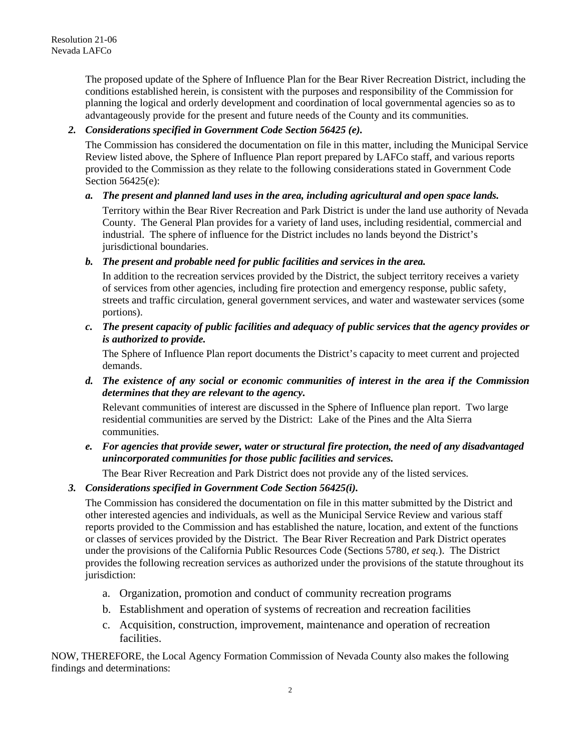The proposed update of the Sphere of Influence Plan for the Bear River Recreation District, including the conditions established herein, is consistent with the purposes and responsibility of the Commission for planning the logical and orderly development and coordination of local governmental agencies so as to advantageously provide for the present and future needs of the County and its communities.

## *2. Considerations specified in Government Code Section 56425 (e).*

The Commission has considered the documentation on file in this matter, including the Municipal Service Review listed above, the Sphere of Influence Plan report prepared by LAFCo staff, and various reports provided to the Commission as they relate to the following considerations stated in Government Code Section 56425(e):

# *a. The present and planned land uses in the area, including agricultural and open space lands.*

Territory within the Bear River Recreation and Park District is under the land use authority of Nevada County. The General Plan provides for a variety of land uses, including residential, commercial and industrial. The sphere of influence for the District includes no lands beyond the District's jurisdictional boundaries.

## *b. The present and probable need for public facilities and services in the area.*

In addition to the recreation services provided by the District, the subject territory receives a variety of services from other agencies, including fire protection and emergency response, public safety, streets and traffic circulation, general government services, and water and wastewater services (some portions).

*c. The present capacity of public facilities and adequacy of public services that the agency provides or is authorized to provide.*

The Sphere of Influence Plan report documents the District's capacity to meet current and projected demands.

*d. The existence of any social or economic communities of interest in the area if the Commission determines that they are relevant to the agency.*

Relevant communities of interest are discussed in the Sphere of Influence plan report. Two large residential communities are served by the District: Lake of the Pines and the Alta Sierra communities.

*e. For agencies that provide sewer, water or structural fire protection, the need of any disadvantaged unincorporated communities for those public facilities and services.*

The Bear River Recreation and Park District does not provide any of the listed services.

## *3. Considerations specified in Government Code Section 56425(i).*

The Commission has considered the documentation on file in this matter submitted by the District and other interested agencies and individuals, as well as the Municipal Service Review and various staff reports provided to the Commission and has established the nature, location, and extent of the functions or classes of services provided by the District. The Bear River Recreation and Park District operates under the provisions of the California Public Resources Code (Sections 5780, *et seq.*). The District provides the following recreation services as authorized under the provisions of the statute throughout its jurisdiction:

- a. Organization, promotion and conduct of community recreation programs
- b. Establishment and operation of systems of recreation and recreation facilities
- c. Acquisition, construction, improvement, maintenance and operation of recreation facilities.

NOW, THEREFORE, the Local Agency Formation Commission of Nevada County also makes the following findings and determinations: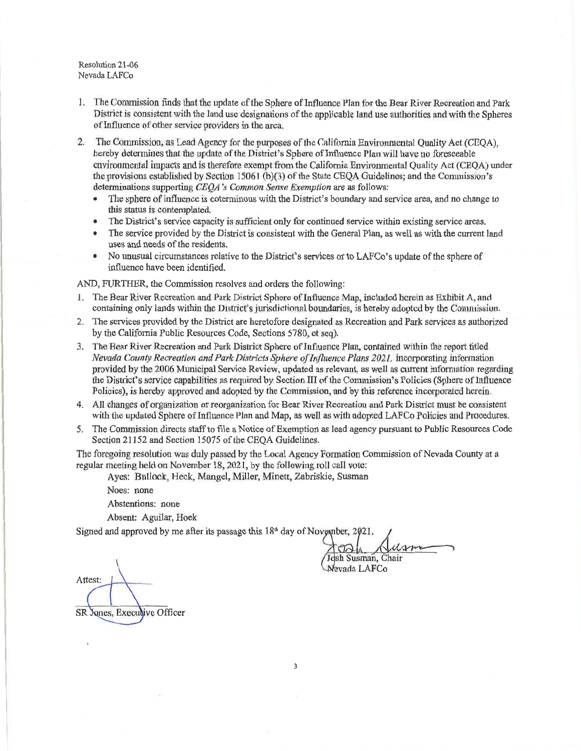Resolution 21-06 Nevada LAFCo

- 1. The Commission finds that the update of the Sphere of Influence Plan for the Bear River Recreation and Park District is consistent with the land use designations of the applicable land use authorities and with the Spheres of Influence of other service providers in the area.
- 2. The Commission, as Lead Agency for the purposes of the California Environmental Quality Act (CEOA), hereby determines that the update of the District's Sphere of Influence Plan will have no foreseeable environmental impacts and is therefore exempt from the California Environmental Quality Act (CEQA) under the provisions established by Section 15061 (b)(3) of the State CEOA Guidelines; and the Commission's determinations supporting CEOA's Common Sense Exemption are as follows:
	- The sphere of influence is coterminous with the District's boundary and service area, and no change to this status is contemplated.
	- The District's service capacity is sufficient only for continued service within existing service areas.  $\bullet$
	- The service provided by the District is consistent with the General Plan, as well as with the current land uses and needs of the residents.
	- No unusual circumstances relative to the District's services or to LAFCo's update of the sphere of influence have been identified.

AND, FURTHER, the Commission resolves and orders the following:

- 1. The Bear River Recreation and Park District Sphere of Influence Map, included herein as Exhibit A, and containing only lands within the District's jurisdictional boundaries, is hereby adopted by the Commission.
- 2. The services provided by the District are heretofore designated as Recreation and Park services as authorized by the California Public Resources Code, Sections 5780, et seq).
- 3. The Bear River Recreation and Park District Sphere of Influence Plan, contained within the report titled Nevada County Recreation and Park Districts Sphere of Influence Plans 2021, incorporating information provided by the 2006 Municipal Service Review, updated as relevant, as well as current information regarding the District's service capabilities as required by Section III of the Commission's Policies (Sphere of Influence Policies), is hereby approved and adopted by the Commission, and by this reference incorporated herein.
- 4. All changes of organization or reorganization for Bear River Recreation and Park District must be consistent with the updated Sphere of Influence Plan and Map, as well as with adopted LAFCo Policies and Procedures.
- 5. The Commission directs staff to file a Notice of Exemption as lead agency pursuant to Public Resources Code Section 21152 and Section 15075 of the CEOA Guidelines.

The foregoing resolution was duly passed by the Local Agency Formation Commission of Nevada County at a regular meeting held on November 18, 2021, by the following roll call vote:

Aves: Bullock, Heck, Mangel, Miller, Minett, Zabriskie, Susman

Noes: none

Abstentions: none

Absent: Aguilar, Hoek

Signed and approved by me after its passage this 18<sup>th</sup> day of November, 2021.

sh Susman, Chair levada LAFCo

Attest: SR Jones, Execulive Officer